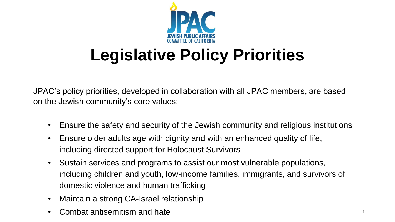

# **Legislative Policy Priorities**

JPAC's policy priorities, developed in collaboration with all JPAC members, are based on the Jewish community's core values:

- Ensure the safety and security of the Jewish community and religious institutions
- Ensure older adults age with dignity and with an enhanced quality of life, including directed support for Holocaust Survivors
- Sustain services and programs to assist our most vulnerable populations, including children and youth, low-income families, immigrants, and survivors of domestic violence and human trafficking
- Maintain a strong CA-Israel relationship
- Combat antisemitism and hate <sup>1</sup>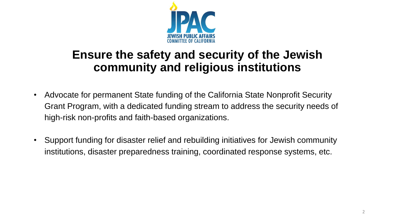

# **Ensure the safety and security of the Jewish community and religious institutions**

- Advocate for permanent State funding of the California State Nonprofit Security Grant Program, with a dedicated funding stream to address the security needs of high-risk non-profits and faith-based organizations.
- Support funding for disaster relief and rebuilding initiatives for Jewish community institutions, disaster preparedness training, coordinated response systems, etc.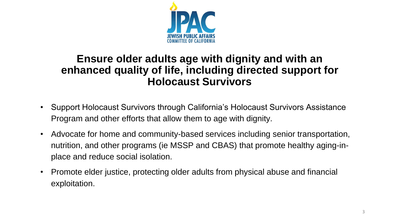

### **Ensure older adults age with dignity and with an enhanced quality of life, including directed support for Holocaust Survivors**

- Support Holocaust Survivors through California's Holocaust Survivors Assistance Program and other efforts that allow them to age with dignity.
- Advocate for home and community-based services including senior transportation, nutrition, and other programs (ie MSSP and CBAS) that promote healthy aging-inplace and reduce social isolation.
- Promote elder justice, protecting older adults from physical abuse and financial exploitation.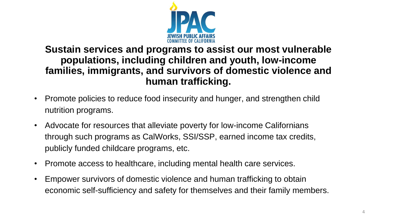

#### **Sustain services and programs to assist our most vulnerable populations, including children and youth, low-income families, immigrants, and survivors of domestic violence and human trafficking.**

- Promote policies to reduce food insecurity and hunger, and strengthen child nutrition programs.
- Advocate for resources that alleviate poverty for low-income Californians through such programs as CalWorks, SSI/SSP, earned income tax credits, publicly funded childcare programs, etc.
- Promote access to healthcare, including mental health care services.
- Empower survivors of domestic violence and human trafficking to obtain economic self-sufficiency and safety for themselves and their family members.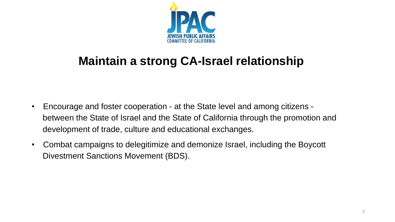

## **Maintain a strong CA-Israel relationship**

- Encourage and foster cooperation at the State level and among citizens between the State of Israel and the State of California through the promotion and development of trade, culture and educational exchanges.
- Combat campaigns to delegitimize and demonize Israel, including the Boycott Divestment Sanctions Movement (BDS).